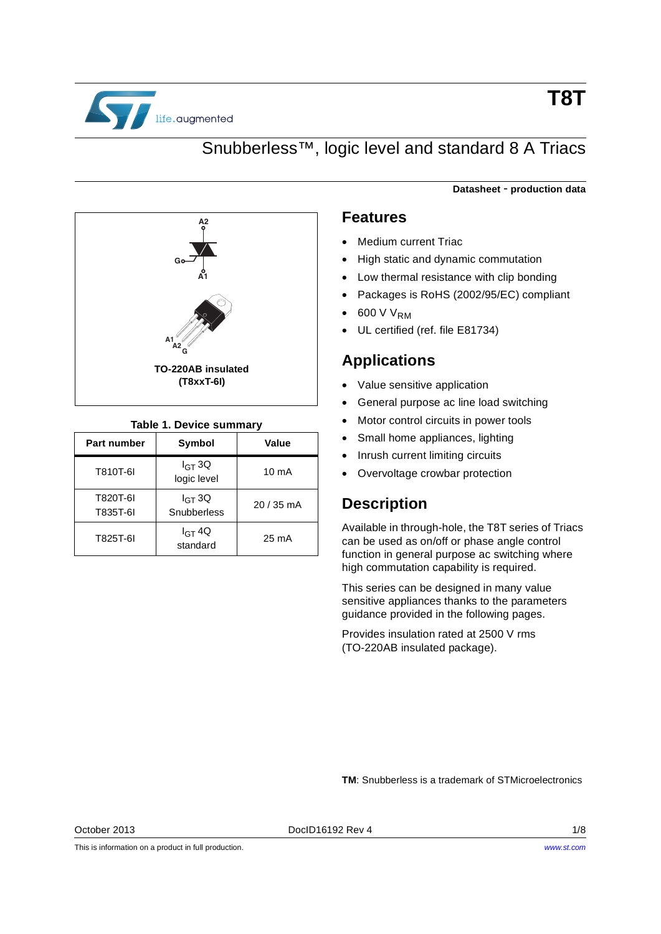

## Snubberless™, logic level and standard 8 A Triacs



### **Table 1. Device summary**

<span id="page-0-0"></span>

| <b>Part number</b>   | <b>Symbol</b>              | Value           |
|----------------------|----------------------------|-----------------|
| T810T-6I             | $I_{GT}$ 3Q<br>logic level | $10 \text{ mA}$ |
| T820T-6I<br>T835T-6I | $I_{GT}$ 3Q<br>Snubberless | 20 / 35 mA      |
| T825T-6I             | $I_{GT}$ 4Q<br>standard    | $25 \text{ mA}$ |

#### **Datasheet** - **production data**

### **Features**

- Medium current Triac
- High static and dynamic commutation
- Low thermal resistance with clip bonding
- Packages is RoHS (2002/95/EC) compliant
- 600 V V<sub>RM</sub>
- UL certified (ref. file E81734)

### **Applications**

- Value sensitive application
- General purpose ac line load switching
- Motor control circuits in power tools
- Small home appliances, lighting
- Inrush current limiting circuits
- Overvoltage crowbar protection

### **Description**

Available in through-hole, the T8T series of Triacs can be used as on/off or phase angle control function in general purpose ac switching where high commutation capability is required.

This series can be designed in many value sensitive appliances thanks to the parameters guidance provided in the following pages.

Provides insulation rated at 2500 V rms (TO-220AB insulated package).

**TM**: Snubberless is a trademark of STMicroelectronics

This is information on a product in full production.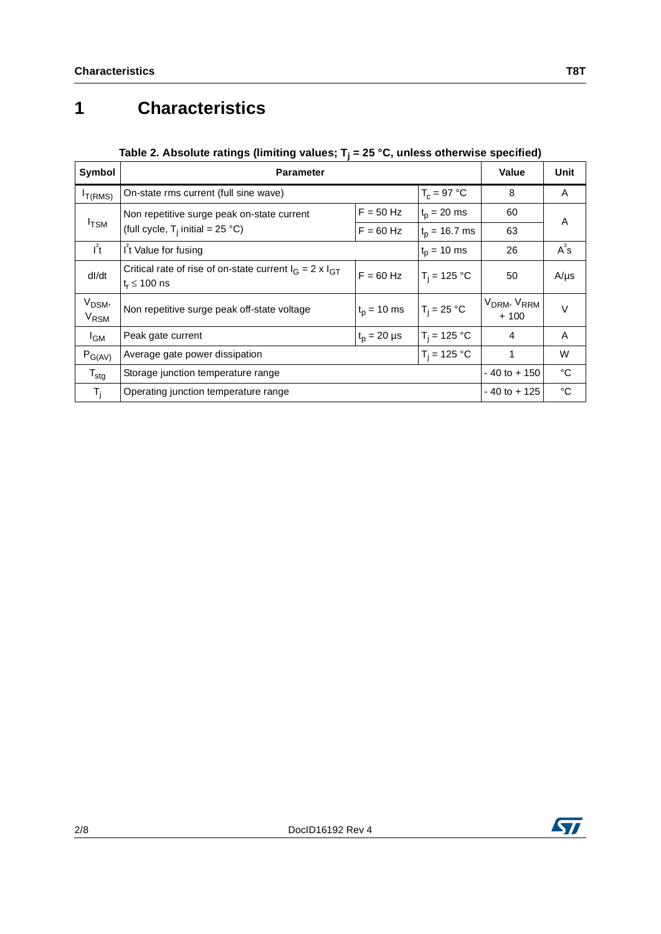# **1 Characteristics**

### Table 2. Absolute ratings (limiting values; T<sub>j</sub> = 25 °C, unless otherwise specified)

| Symbol                                       | <b>Parameter</b>                                                                       | Value           | Unit                                          |                 |             |  |
|----------------------------------------------|----------------------------------------------------------------------------------------|-----------------|-----------------------------------------------|-----------------|-------------|--|
| $I_{T(RMS)}$                                 | On-state rms current (full sine wave)                                                  |                 | $T_c = 97 °C$                                 | 8               | A           |  |
|                                              | Non repetitive surge peak on-state current                                             | $F = 50$ Hz     | $t_p = 20$ ms                                 | 60              | A           |  |
| $I_{\text{TSM}}$                             | (full cycle, $T_i$ initial = 25 °C)<br>$F = 60$ Hz                                     |                 | $t_{p}$ = 16.7 ms                             | 63              |             |  |
| $I^2t$                                       | I <sup>2</sup> t Value for fusing                                                      | $t_p = 10$ ms   | 26                                            | $A^2S$          |             |  |
| dl/dt                                        | Critical rate of rise of on-state current $I_G = 2 \times I_{GT}$<br>$t_r \leq 100$ ns | $F = 60$ Hz     | $T_i = 125 °C$                                | 50              | $A/\mu s$   |  |
| V <sub>DSM</sub> ,<br><b>V<sub>RSM</sub></b> | Non repetitive surge peak off-state voltage                                            | $T_i = 25 °C$   | V <sub>DRM</sub> , V <sub>RRM</sub><br>$+100$ | $\vee$          |             |  |
| $I_{GM}$                                     | $t_p = 20 \mu s$<br>Peak gate current                                                  |                 | $T_i = 125 °C$                                | 4               | A           |  |
| $P_{G(AV)}$                                  | $T_i = 125 °C$<br>Average gate power dissipation                                       |                 |                                               |                 | W           |  |
| $T_{\text{stg}}$                             | Storage junction temperature range                                                     | $-40$ to $+150$ | °C                                            |                 |             |  |
| $T_{\rm i}$                                  | Operating junction temperature range                                                   |                 |                                               | $-40$ to $+125$ | $^{\circ}C$ |  |

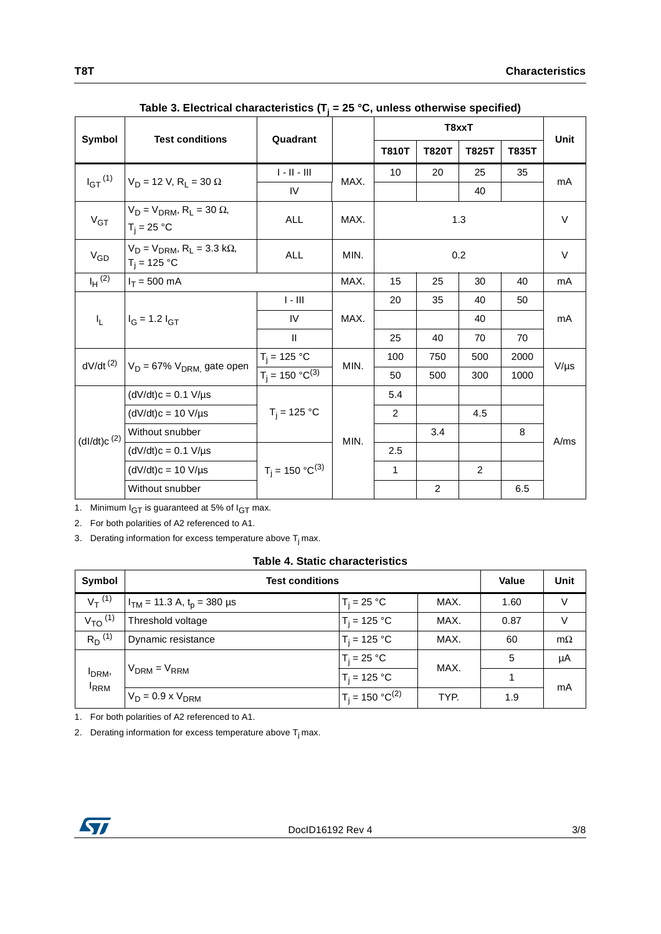|                         |                                                                   | Quadrant                |      | T8xxT        |              |                |              | Unit      |
|-------------------------|-------------------------------------------------------------------|-------------------------|------|--------------|--------------|----------------|--------------|-----------|
| Symbol                  | <b>Test conditions</b>                                            |                         |      | <b>T810T</b> | <b>T820T</b> | <b>T825T</b>   | <b>T835T</b> |           |
| $I_{GT}$ <sup>(1)</sup> | $V_D = 12 V$ , R <sub>1</sub> = 30 $\Omega$                       | $\ \cdot\  \cdot \  \ $ | MAX. | 10           | 20           | 25             | 35           |           |
|                         |                                                                   | IV                      |      |              |              | 40             |              | mA        |
| $V_{GT}$                | $V_D = V_{DRM}$ , R <sub>L</sub> = 30 $\Omega$ ,<br>$T_i = 25 °C$ | ALL                     | MAX. | 1.3          |              |                | V            |           |
| $V_{GD}$                | $V_D = V_{DRM}$ , $R_L = 3.3$ k $\Omega$ ,<br>$T_i = 125 °C$      | ALL                     | MIN. | 0.2          |              |                | V            |           |
| $I_H$ (2)               | $I_T = 500$ mA                                                    |                         | MAX. | 15           | 25           | 30             | 40           | mA        |
|                         | $I_G$ = 1.2 $I_{GT}$<br>$I_{L}$                                   | $I - III$               |      | 20           | 35           | 40             | 50           |           |
|                         |                                                                   | IV                      | MAX. |              |              | 40             |              | mA        |
|                         |                                                                   | Ш                       |      | 25           | 40           | 70             | 70           |           |
|                         | $dV/dt^{(2)}$ $V_D = 67\% V_{DRM}$ gate open                      | $T_i = 125 °C$          | MIN. | 100          | 750          | 500            | 2000         |           |
|                         |                                                                   | $T_i = 150 °C^{(3)}$    |      | 50           | 500          | 300            | 1000         | $V/\mu s$ |
|                         | $(dV/dt)c = 0.1 V/\mu s$                                          |                         |      | 5.4          |              |                |              |           |
|                         | $(dV/dt)c = 10 V/\mu s$                                           | $T_i = 125 °C$          |      | 2            |              | 4.5            |              |           |
| (dI/dt)c <sup>(2)</sup> | Without snubber                                                   |                         | MIN. |              | 3.4          |                | 8            | A/ms      |
|                         | $(dV/dt)c = 0.1 V/\mu s$                                          |                         |      | 2.5          |              |                |              |           |
|                         | $(dV/dt)c = 10 V/ \mu s$                                          | $T_j = 150 °C^{(3)}$    |      | $\mathbf{1}$ |              | $\overline{2}$ |              |           |
|                         | Without snubber                                                   |                         |      |              | 2            |                | 6.5          |           |

| Table 3. Electrical characteristics ( $T_i$ = 25 °C, unless otherwise specified) |  |
|----------------------------------------------------------------------------------|--|
|----------------------------------------------------------------------------------|--|

1. Minimum  $I_{GT}$  is guaranteed at 5% of  $I_{GT}$  max.

2. For both polarities of A2 referenced to A1.

3. Derating information for excess temperature above  $T_j$  max.

#### **Table 4. Static characteristics**

| Symbol                  | <b>Test conditions</b>            |                      |      | <b>Value</b> | Unit      |
|-------------------------|-----------------------------------|----------------------|------|--------------|-----------|
| $V_T^{(1)}$             | $I_{TM}$ = 11.3 A, $t_p$ = 380 µs | $T_i = 25 °C$        | MAX. | 1.60         | V         |
| $V_{TO}$ <sup>(1)</sup> | Threshold voltage                 | $T_i = 125 °C$       | MAX. | 0.87         | V         |
| $R_D^{(1)}$             | Dynamic resistance                | $T_i = 125 °C$       | MAX. | 60           | $m\Omega$ |
|                         |                                   | $T_i = 25 °C$        | MAX. | 5            | μA        |
| I <sub>DRM</sub> ,      | $V_{DRM} = V_{RRM}$               | $T_i = 125 °C$       |      |              |           |
| <sup>I</sup> RRM        | $V_D = 0.9 \times V_{DRM}$        | $T_i = 150 °C^{(2)}$ | TYP. | 1.9          | mA        |

1. For both polarities of A2 referenced to A1.

2. Derating information for excess temperature above  $T_j$  max.

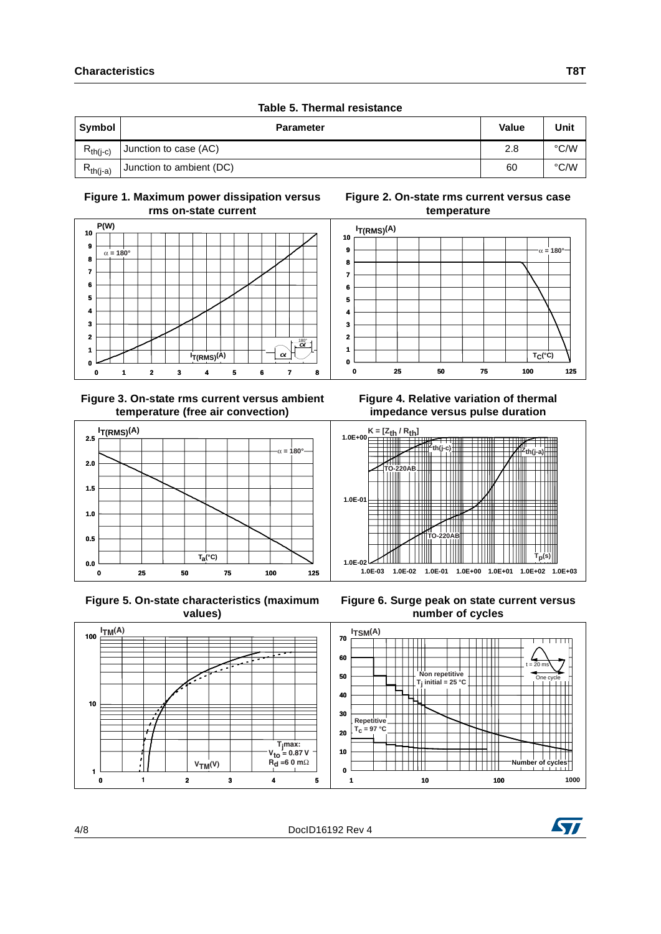|               | Table 5. Thermal resistance |              |      |
|---------------|-----------------------------|--------------|------|
| Symbol        | <b>Parameter</b>            | <b>Value</b> | Unit |
| $R_{th(i-c)}$ | Junction to case (AC)       | 2.8          | °C/W |
| $R_{th(i-a)}$ | Junction to ambient (DC)    | 60           | °C/W |

#### **Figure 1. Maximum power dissipation versus rms on-state current**



#### **Figure 3. On-state rms current versus ambient temperature (free air convection)**



 **Figure 5. On-state characteristics (maximum values)**





**Figure 6. Surge peak on state current versus number of cycles**



**Figure 2. On-state rms current versus case temperature**



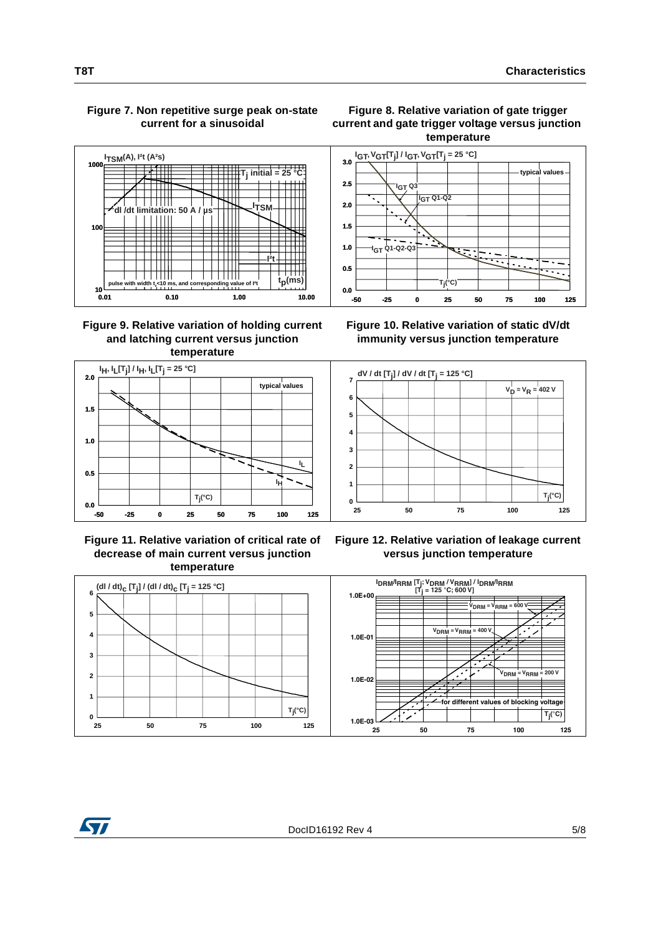### **Figure 7. Non repetitive surge peak on-state current for a sinusoidal**



#### **Figure 9. Relative variation of holding current and latching current versus junction temperature**



 **Figure 11. Relative variation of critical rate of decrease of main current versus junction temperature**





**Figure 10. Relative variation of static dV/dt immunity versus junction temperature**



**Figure 12. Relative variation of leakage current versus junction temperature**

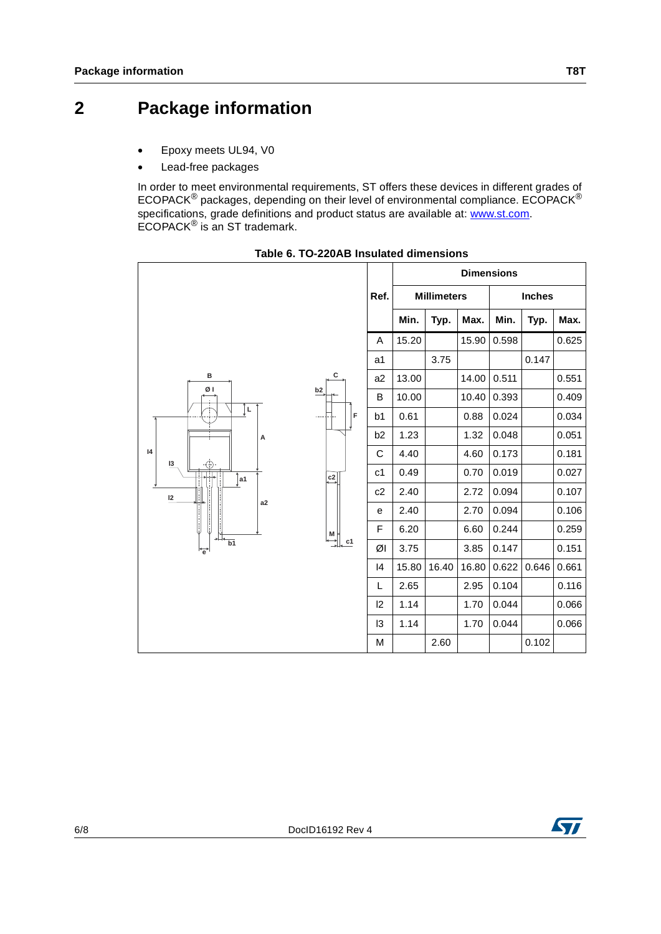## **2 Package information**

- Epoxy meets UL94, V0
- Lead-free packages

In order to meet environmental requirements, ST offers these devices in different grades of ECOPACK® packages, depending on their level of environmental compliance. ECOPACK® specifications, grade definitions and product status are available at: [www.st.com](http://www.st.com). ECOPACK® is an ST trademark.



**Table 6. TO-220AB Insulated dimensions**

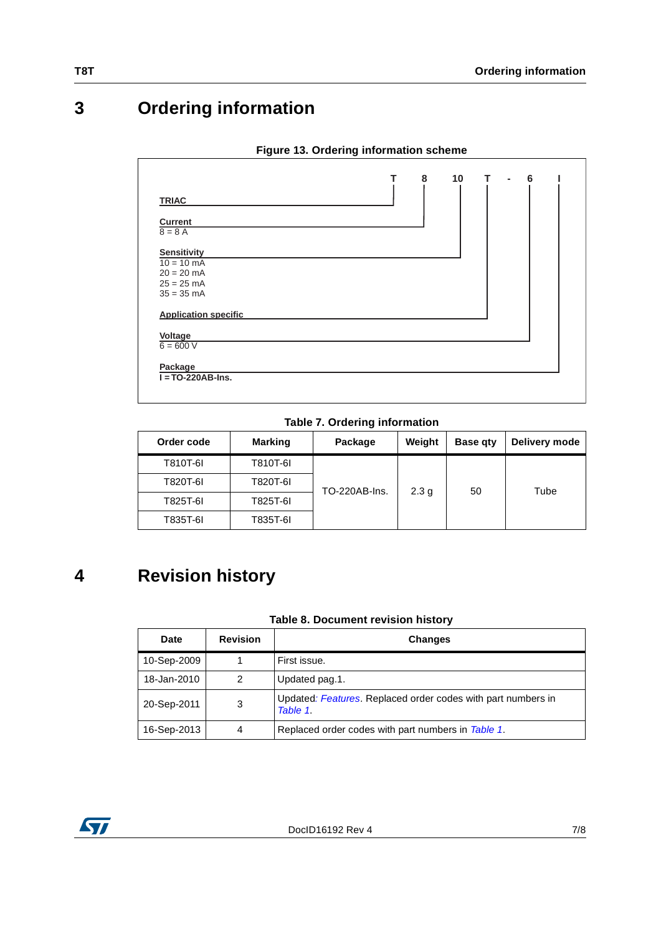## **3 Ordering information**

|  | Figure 13. Ordering information scheme |  |
|--|----------------------------------------|--|
|  |                                        |  |

| <b>TRIAC</b><br><b>Current</b><br>$8 = 8 A$<br><b>Sensitivity</b><br>$10 = 10$ mA<br>$20 = 20$ mA<br>$25 = 25$ mA<br>$35 = 35$ mA |  |  |  |
|-----------------------------------------------------------------------------------------------------------------------------------|--|--|--|
|                                                                                                                                   |  |  |  |
|                                                                                                                                   |  |  |  |
|                                                                                                                                   |  |  |  |
|                                                                                                                                   |  |  |  |
|                                                                                                                                   |  |  |  |
|                                                                                                                                   |  |  |  |
|                                                                                                                                   |  |  |  |
|                                                                                                                                   |  |  |  |
| <b>Application specific</b>                                                                                                       |  |  |  |
| Voltage                                                                                                                           |  |  |  |
| $6 = 600 V$                                                                                                                       |  |  |  |
| Package                                                                                                                           |  |  |  |
| $I = TO-220AB-Ins.$                                                                                                               |  |  |  |

**Table 7. Ordering information**

| Order code | <b>Marking</b> | Package       | Weight           | <b>Base gty</b> | Delivery mode |
|------------|----------------|---------------|------------------|-----------------|---------------|
| T810T-6I   | T810T-6I       |               |                  |                 |               |
| T820T-6I   | T820T-6I       | TO-220AB-Ins. | 2.3 <sub>q</sub> | 50              | Tube          |
| T825T-6I   | T825T-6I       |               |                  |                 |               |
| T835T-6I   | T835T-6I       |               |                  |                 |               |

## **4 Revision history**

### **Table 8. Document revision history**

| Date        | <b>Revision</b> | <b>Changes</b>                                                           |
|-------------|-----------------|--------------------------------------------------------------------------|
| 10-Sep-2009 |                 | First issue.                                                             |
| 18-Jan-2010 | 2               | Updated pag.1.                                                           |
| 20-Sep-2011 | 3               | Updated: Features. Replaced order codes with part numbers in<br>Table 1. |
| 16-Sep-2013 | 4               | Replaced order codes with part numbers in Table 1.                       |